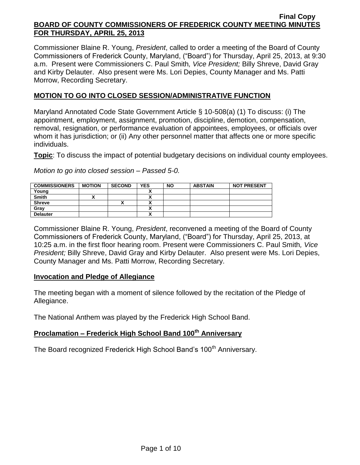Commissioner Blaine R. Young, *President*, called to order a meeting of the Board of County Commissioners of Frederick County, Maryland, ("Board") for Thursday, April 25, 2013, at 9:30 a.m. Present were Commissioners C. Paul Smith*, Vice President;* Billy Shreve, David Gray and Kirby Delauter. Also present were Ms. Lori Depies, County Manager and Ms. Patti Morrow, Recording Secretary.

## **MOTION TO GO INTO CLOSED SESSION/ADMINISTRATIVE FUNCTION**

Maryland Annotated Code State Government Article § 10-508(a) (1) To discuss: (i) The appointment, employment, assignment, promotion, discipline, demotion, compensation, removal, resignation, or performance evaluation of appointees, employees, or officials over whom it has jurisdiction; or (ii) Any other personnel matter that affects one or more specific individuals.

**Topic**: To discuss the impact of potential budgetary decisions on individual county employees.

*Motion to go into closed session – Passed 5-0.*

| <b>COMMISSIONERS</b> | <b>MOTION</b> | <b>SECOND</b> | <b>YES</b>   | <b>NO</b> | <b>ABSTAIN</b> | <b>NOT PRESENT</b> |
|----------------------|---------------|---------------|--------------|-----------|----------------|--------------------|
| Young                |               |               |              |           |                |                    |
| <b>Smith</b>         |               |               |              |           |                |                    |
| <b>Shreve</b>        |               | '             |              |           |                |                    |
| Gray                 |               |               |              |           |                |                    |
| <b>Delauter</b>      |               |               | $\mathbf{v}$ |           |                |                    |

Commissioner Blaine R. Young, *President*, reconvened a meeting of the Board of County Commissioners of Frederick County, Maryland, ("Board") for Thursday, April 25, 2013, at 10:25 a.m. in the first floor hearing room. Present were Commissioners C. Paul Smith*, Vice President;* Billy Shreve, David Gray and Kirby Delauter. Also present were Ms. Lori Depies, County Manager and Ms. Patti Morrow, Recording Secretary.

#### **Invocation and Pledge of Allegiance**

The meeting began with a moment of silence followed by the recitation of the Pledge of Allegiance.

The National Anthem was played by the Frederick High School Band.

# **Proclamation – Frederick High School Band 100th Anniversary**

The Board recognized Frederick High School Band's 100<sup>th</sup> Anniversary.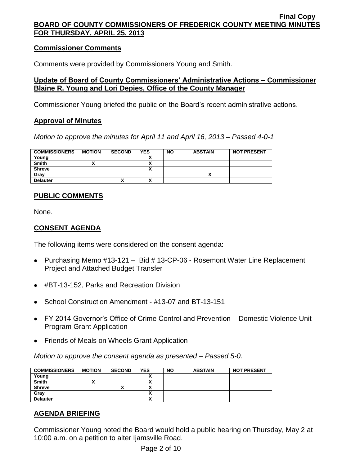## **Commissioner Comments**

Comments were provided by Commissioners Young and Smith.

## **Update of Board of County Commissioners' Administrative Actions – Commissioner Blaine R. Young and Lori Depies, Office of the County Manager**

Commissioner Young briefed the public on the Board's recent administrative actions.

## **Approval of Minutes**

*Motion to approve the minutes for April 11 and April 16, 2013 – Passed 4-0-1*

| <b>COMMISSIONERS</b> | <b>MOTION</b> | <b>SECOND</b> | <b>YES</b> | <b>NO</b> | <b>ABSTAIN</b> | <b>NOT PRESENT</b> |
|----------------------|---------------|---------------|------------|-----------|----------------|--------------------|
| Young                |               |               |            |           |                |                    |
| <b>Smith</b>         |               |               |            |           |                |                    |
| <b>Shreve</b>        |               |               |            |           |                |                    |
| Gray                 |               |               |            |           |                |                    |
| <b>Delauter</b>      |               |               |            |           |                |                    |

## **PUBLIC COMMENTS**

None.

## **CONSENT AGENDA**

The following items were considered on the consent agenda:

- Purchasing Memo #13-121 Bid # 13-CP-06 Rosemont Water Line Replacement Project and Attached Budget Transfer
- #BT-13-152, Parks and Recreation Division
- School Construction Amendment #13-07 and BT-13-151
- FY 2014 Governor's Office of Crime Control and Prevention Domestic Violence Unit Program Grant Application
- Friends of Meals on Wheels Grant Application

*Motion to approve the consent agenda as presented – Passed 5-0.*

| <b>COMMISSIONERS</b> | <b>MOTION</b> | <b>SECOND</b> | <b>YES</b> | <b>NO</b> | <b>ABSTAIN</b> | <b>NOT PRESENT</b> |
|----------------------|---------------|---------------|------------|-----------|----------------|--------------------|
| Young                |               |               |            |           |                |                    |
| <b>Smith</b>         |               |               |            |           |                |                    |
| <b>Shreve</b>        |               |               |            |           |                |                    |
| Gray                 |               |               | ^          |           |                |                    |
| <b>Delauter</b>      |               |               |            |           |                |                    |

# **AGENDA BRIEFING**

Commissioner Young noted the Board would hold a public hearing on Thursday, May 2 at 10:00 a.m. on a petition to alter Ijamsville Road.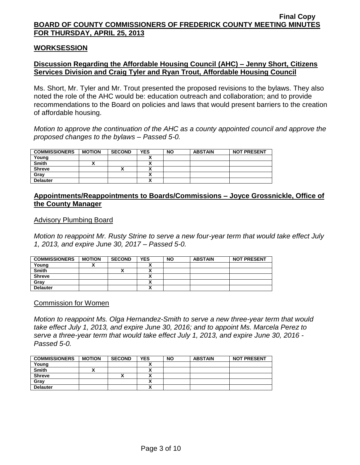#### **WORKSESSION**

## **Discussion Regarding the Affordable Housing Council (AHC) – Jenny Short, Citizens Services Division and Craig Tyler and Ryan Trout, Affordable Housing Council**

Ms. Short, Mr. Tyler and Mr. Trout presented the proposed revisions to the bylaws. They also noted the role of the AHC would be: education outreach and collaboration; and to provide recommendations to the Board on policies and laws that would present barriers to the creation of affordable housing.

*Motion to approve the continuation of the AHC as a county appointed council and approve the proposed changes to the bylaws – Passed 5-0.*

| <b>COMMISSIONERS</b> | <b>MOTION</b> | <b>SECOND</b> | <b>YES</b> | <b>NO</b> | <b>ABSTAIN</b> | <b>NOT PRESENT</b> |
|----------------------|---------------|---------------|------------|-----------|----------------|--------------------|
| Young                |               |               |            |           |                |                    |
| <b>Smith</b>         |               |               |            |           |                |                    |
| <b>Shreve</b>        |               | Λ             |            |           |                |                    |
| Grav                 |               |               |            |           |                |                    |
| <b>Delauter</b>      |               |               |            |           |                |                    |

### **Appointments/Reappointments to Boards/Commissions – Joyce Grossnickle, Office of the County Manager**

#### Advisory Plumbing Board

*Motion to reappoint Mr. Rusty Strine to serve a new four-year term that would take effect July 1, 2013, and expire June 30, 2017 – Passed 5-0.*

| <b>COMMISSIONERS</b> | <b>MOTION</b> | <b>SECOND</b> | <b>YES</b> | <b>NO</b> | <b>ABSTAIN</b> | <b>NOT PRESENT</b> |
|----------------------|---------------|---------------|------------|-----------|----------------|--------------------|
| Young                |               |               |            |           |                |                    |
| <b>Smith</b>         |               | ́             |            |           |                |                    |
| <b>Shreve</b>        |               |               |            |           |                |                    |
| Gray                 |               |               |            |           |                |                    |
| <b>Delauter</b>      |               |               |            |           |                |                    |

Commission for Women

*Motion to reappoint Ms. Olga Hernandez-Smith to serve a new three-year term that would take effect July 1, 2013, and expire June 30, 2016; and to appoint Ms. Marcela Perez to serve a three-year term that would take effect July 1, 2013, and expire June 30, 2016 - Passed 5-0.*

| <b>COMMISSIONERS</b> | <b>MOTION</b> | <b>SECOND</b> | <b>YES</b>               | <b>NO</b> | <b>ABSTAIN</b> | <b>NOT PRESENT</b> |
|----------------------|---------------|---------------|--------------------------|-----------|----------------|--------------------|
| Young                |               |               |                          |           |                |                    |
| <b>Smith</b>         |               |               |                          |           |                |                    |
| <b>Shreve</b>        |               |               | $\overline{\phantom{a}}$ |           |                |                    |
| Gray                 |               |               | Λ                        |           |                |                    |
| <b>Delauter</b>      |               |               | $\overline{\phantom{a}}$ |           |                |                    |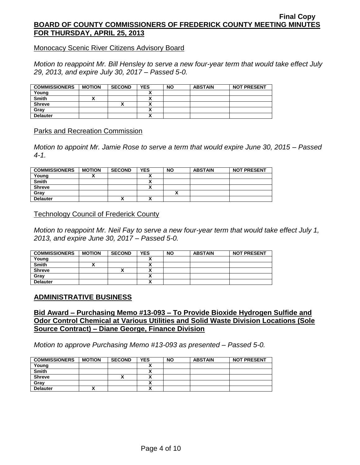Monocacy Scenic River Citizens Advisory Board

*Motion to reappoint Mr. Bill Hensley to serve a new four-year term that would take effect July 29, 2013, and expire July 30, 2017 – Passed 5-0.*

| <b>COMMISSIONERS</b> | <b>MOTION</b> | <b>SECOND</b> | <b>YES</b> | <b>NO</b> | <b>ABSTAIN</b> | <b>NOT PRESENT</b> |
|----------------------|---------------|---------------|------------|-----------|----------------|--------------------|
| Young                |               |               |            |           |                |                    |
| <b>Smith</b>         |               |               |            |           |                |                    |
| <b>Shreve</b>        |               | "             |            |           |                |                    |
| Grav                 |               |               |            |           |                |                    |
| <b>Delauter</b>      |               |               |            |           |                |                    |

### Parks and Recreation Commission

*Motion to appoint Mr. Jamie Rose to serve a term that would expire June 30, 2015 – Passed 4-1.*

| <b>COMMISSIONERS</b> | <b>MOTION</b> | <b>SECOND</b> | <b>YES</b> | <b>NO</b> | <b>ABSTAIN</b> | <b>NOT PRESENT</b> |
|----------------------|---------------|---------------|------------|-----------|----------------|--------------------|
| Young                |               |               |            |           |                |                    |
| <b>Smith</b>         |               |               |            |           |                |                    |
| <b>Shreve</b>        |               |               | Λ          |           |                |                    |
| Gray                 |               |               |            |           |                |                    |
| <b>Delauter</b>      |               | Λ             | v          |           |                |                    |

#### Technology Council of Frederick County

*Motion to reappoint Mr. Neil Fay to serve a new four-year term that would take effect July 1, 2013, and expire June 30, 2017 – Passed 5-0.*

| <b>COMMISSIONERS</b> | <b>MOTION</b> | <b>SECOND</b> | <b>YES</b> | <b>NO</b> | <b>ABSTAIN</b> | <b>NOT PRESENT</b> |
|----------------------|---------------|---------------|------------|-----------|----------------|--------------------|
| Young                |               |               |            |           |                |                    |
| <b>Smith</b>         |               |               |            |           |                |                    |
| <b>Shreve</b>        |               |               |            |           |                |                    |
| Grav                 |               |               | ~          |           |                |                    |
| <b>Delauter</b>      |               |               | ^          |           |                |                    |

## **ADMINISTRATIVE BUSINESS**

### **Bid Award – Purchasing Memo #13-093 – To Provide Bioxide Hydrogen Sulfide and Odor Control Chemical at Various Utilities and Solid Waste Division Locations (Sole Source Contract) – Diane George, Finance Division**

*Motion to approve Purchasing Memo #13-093 as presented – Passed 5-0.*

| <b>COMMISSIONERS</b> | <b>MOTION</b> | <b>SECOND</b> | <b>YES</b> | <b>NO</b> | <b>ABSTAIN</b> | <b>NOT PRESENT</b> |
|----------------------|---------------|---------------|------------|-----------|----------------|--------------------|
| Young                |               |               |            |           |                |                    |
| <b>Smith</b>         |               |               |            |           |                |                    |
| <b>Shreve</b>        |               | Λ             |            |           |                |                    |
| Gray                 |               |               |            |           |                |                    |
| <b>Delauter</b>      |               |               |            |           |                |                    |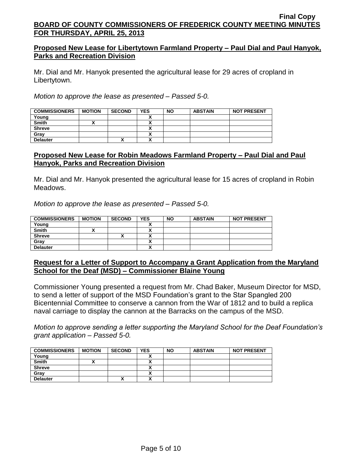## **Proposed New Lease for Libertytown Farmland Property – Paul Dial and Paul Hanyok, Parks and Recreation Division**

Mr. Dial and Mr. Hanyok presented the agricultural lease for 29 acres of cropland in Libertytown.

*Motion to approve the lease as presented – Passed 5-0.*

| <b>COMMISSIONERS</b> | <b>MOTION</b> | <b>SECOND</b> | <b>YES</b> | <b>NO</b> | <b>ABSTAIN</b> | <b>NOT PRESENT</b> |
|----------------------|---------------|---------------|------------|-----------|----------------|--------------------|
| Young                |               |               |            |           |                |                    |
| <b>Smith</b>         |               |               |            |           |                |                    |
| <b>Shreve</b>        |               |               | ,,         |           |                |                    |
| Gray                 |               |               | ~          |           |                |                    |
| <b>Delauter</b>      |               |               |            |           |                |                    |

## **Proposed New Lease for Robin Meadows Farmland Property – Paul Dial and Paul Hanyok, Parks and Recreation Division**

Mr. Dial and Mr. Hanyok presented the agricultural lease for 15 acres of cropland in Robin Meadows.

*Motion to approve the lease as presented – Passed 5-0.*

| <b>COMMISSIONERS</b> | <b>MOTION</b> | <b>SECOND</b> | <b>YES</b>               | <b>NO</b> | <b>ABSTAIN</b> | <b>NOT PRESENT</b> |
|----------------------|---------------|---------------|--------------------------|-----------|----------------|--------------------|
| Young                |               |               |                          |           |                |                    |
| <b>Smith</b>         |               |               |                          |           |                |                    |
| <b>Shreve</b>        |               |               |                          |           |                |                    |
| Grav                 |               |               |                          |           |                |                    |
| <b>Delauter</b>      |               |               | $\overline{\phantom{a}}$ |           |                |                    |

## **Request for a Letter of Support to Accompany a Grant Application from the Maryland School for the Deaf (MSD) – Commissioner Blaine Young**

Commissioner Young presented a request from Mr. Chad Baker, Museum Director for MSD, to send a letter of support of the MSD Foundation's grant to the Star Spangled 200 Bicentennial Committee to conserve a cannon from the War of 1812 and to build a replica naval carriage to display the cannon at the Barracks on the campus of the MSD.

*Motion to approve sending a letter supporting the Maryland School for the Deaf Foundation's grant application – Passed 5-0.*

| <b>COMMISSIONERS</b> | <b>MOTION</b> | <b>SECOND</b> | <b>YES</b> | <b>NO</b> | <b>ABSTAIN</b> | <b>NOT PRESENT</b> |
|----------------------|---------------|---------------|------------|-----------|----------------|--------------------|
| Young                |               |               |            |           |                |                    |
| <b>Smith</b>         |               |               |            |           |                |                    |
| <b>Shreve</b>        |               |               |            |           |                |                    |
| Gray                 |               |               |            |           |                |                    |
| <b>Delauter</b>      |               | ^             |            |           |                |                    |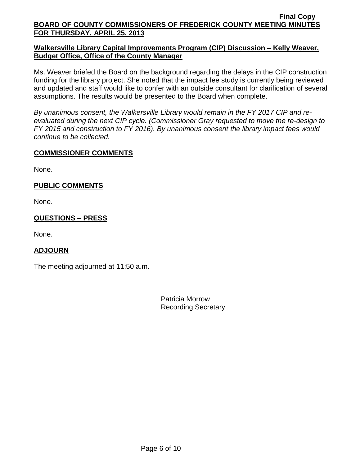## **Walkersville Library Capital Improvements Program (CIP) Discussion – Kelly Weaver, Budget Office, Office of the County Manager**

Ms. Weaver briefed the Board on the background regarding the delays in the CIP construction funding for the library project. She noted that the impact fee study is currently being reviewed and updated and staff would like to confer with an outside consultant for clarification of several assumptions. The results would be presented to the Board when complete.

*By unanimous consent, the Walkersville Library would remain in the FY 2017 CIP and reevaluated during the next CIP cycle. (Commissioner Gray requested to move the re-design to FY 2015 and construction to FY 2016). By unanimous consent the library impact fees would continue to be collected.*

## **COMMISSIONER COMMENTS**

None.

# **PUBLIC COMMENTS**

None.

## **QUESTIONS – PRESS**

None.

# **ADJOURN**

The meeting adjourned at 11:50 a.m.

Patricia Morrow Recording Secretary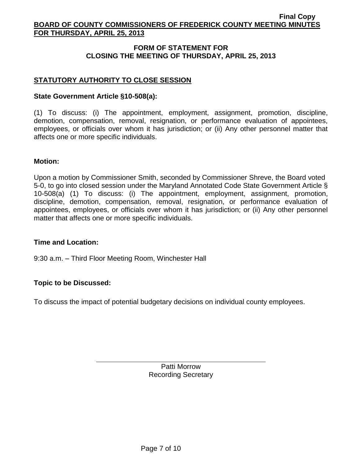## **FORM OF STATEMENT FOR CLOSING THE MEETING OF THURSDAY, APRIL 25, 2013**

## **STATUTORY AUTHORITY TO CLOSE SESSION**

### **State Government Article §10-508(a):**

(1) To discuss: (i) The appointment, employment, assignment, promotion, discipline, demotion, compensation, removal, resignation, or performance evaluation of appointees, employees, or officials over whom it has jurisdiction; or (ii) Any other personnel matter that affects one or more specific individuals.

#### **Motion:**

Upon a motion by Commissioner Smith, seconded by Commissioner Shreve, the Board voted 5-0, to go into closed session under the Maryland Annotated Code State Government Article § 10-508(a) (1) To discuss: (i) The appointment, employment, assignment, promotion, discipline, demotion, compensation, removal, resignation, or performance evaluation of appointees, employees, or officials over whom it has jurisdiction; or (ii) Any other personnel matter that affects one or more specific individuals.

#### **Time and Location:**

9:30 a.m. – Third Floor Meeting Room, Winchester Hall

## **Topic to be Discussed:**

To discuss the impact of potential budgetary decisions on individual county employees.

Patti Morrow Recording Secretary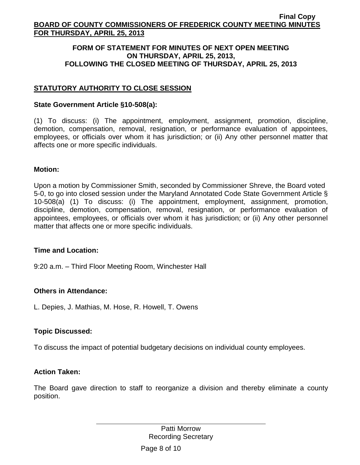### **FORM OF STATEMENT FOR MINUTES OF NEXT OPEN MEETING ON THURSDAY, APRIL 25, 2013, FOLLOWING THE CLOSED MEETING OF THURSDAY, APRIL 25, 2013**

# **STATUTORY AUTHORITY TO CLOSE SESSION**

### **State Government Article §10-508(a):**

(1) To discuss: (i) The appointment, employment, assignment, promotion, discipline, demotion, compensation, removal, resignation, or performance evaluation of appointees, employees, or officials over whom it has jurisdiction; or (ii) Any other personnel matter that affects one or more specific individuals.

### **Motion:**

Upon a motion by Commissioner Smith, seconded by Commissioner Shreve, the Board voted 5-0, to go into closed session under the Maryland Annotated Code State Government Article § 10-508(a) (1) To discuss: (i) The appointment, employment, assignment, promotion, discipline, demotion, compensation, removal, resignation, or performance evaluation of appointees, employees, or officials over whom it has jurisdiction; or (ii) Any other personnel matter that affects one or more specific individuals.

#### **Time and Location:**

9:20 a.m. – Third Floor Meeting Room, Winchester Hall

## **Others in Attendance:**

L. Depies, J. Mathias, M. Hose, R. Howell, T. Owens

## **Topic Discussed:**

To discuss the impact of potential budgetary decisions on individual county employees.

#### **Action Taken:**

The Board gave direction to staff to reorganize a division and thereby eliminate a county position.

> Patti Morrow Recording Secretary

Page 8 of 10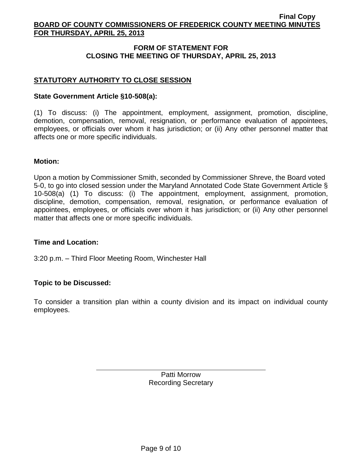## **FORM OF STATEMENT FOR CLOSING THE MEETING OF THURSDAY, APRIL 25, 2013**

## **STATUTORY AUTHORITY TO CLOSE SESSION**

### **State Government Article §10-508(a):**

(1) To discuss: (i) The appointment, employment, assignment, promotion, discipline, demotion, compensation, removal, resignation, or performance evaluation of appointees, employees, or officials over whom it has jurisdiction; or (ii) Any other personnel matter that affects one or more specific individuals.

#### **Motion:**

Upon a motion by Commissioner Smith, seconded by Commissioner Shreve, the Board voted 5-0, to go into closed session under the Maryland Annotated Code State Government Article § 10-508(a) (1) To discuss: (i) The appointment, employment, assignment, promotion, discipline, demotion, compensation, removal, resignation, or performance evaluation of appointees, employees, or officials over whom it has jurisdiction; or (ii) Any other personnel matter that affects one or more specific individuals.

#### **Time and Location:**

3:20 p.m. – Third Floor Meeting Room, Winchester Hall

#### **Topic to be Discussed:**

To consider a transition plan within a county division and its impact on individual county employees.

> Patti Morrow Recording Secretary